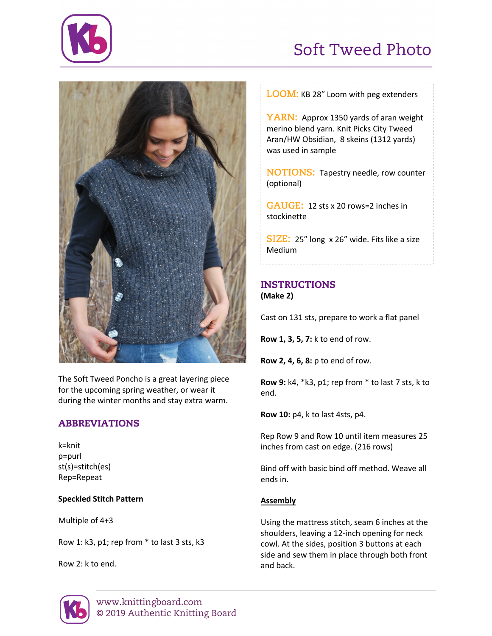

# Soft Tweed Photo



The Soft Tweed Poncho is a great layering piece for the upcoming spring weather, or wear it during the winter months and stay extra warm.

# ABBREVIATIONS

k=knit p=purl st(s)=stitch(es) Rep=Repeat

#### **Speckled Stitch Pattern**

Multiple of 4+3

Row 1: k3, p1; rep from \* to last 3 sts, k3

Row 2: k to end.



**YARN:** Approx 1350 yards of aran weight merino blend yarn. Knit Picks City Tweed Aran/HW Obsidian, 8 skeins (1312 yards) was used in sample

**NOTIONS:** Tapestry needle, row counter (optional)

**GAUGE:** 12 sts x 20 rows=2 inches in stockinette

**SIZE:** 25" long x 26" wide. Fits like a size Medium

## INSTRUCTIONS **(Make 2)**

Cast on 131 sts, prepare to work a flat panel

**Row 1, 3, 5, 7:** k to end of row.

**Row 2, 4, 6, 8:** p to end of row.

**Row 9:** k4, \*k3, p1; rep from \* to last 7 sts, k to end.

**Row 10:** p4, k to last 4sts, p4.

Rep Row 9 and Row 10 until item measures 25 inches from cast on edge. (216 rows)

Bind off with basic bind off method. Weave all ends in.

# **Assembly**

Using the mattress stitch, seam 6 inches at the shoulders, leaving a 12-inch opening for neck cowl. At the sides, position 3 buttons at each side and sew them in place through both front and back.